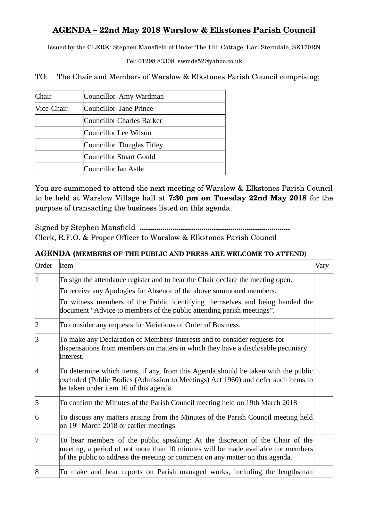## **AGENDA – 22nd May 2018 Warslow & Elkstones Parish Council**

Issued by the CLERK: Stephen Mansfield of Under The Hill Cottage, Earl Sterndale, SK170RN

Tel: 01298 83308 swmde52@yahoo.co.uk

TO: The Chair and Members of Warslow & Elkstones Parish Council comprising;

| Chair      | Councillor Amy Wardman    |
|------------|---------------------------|
| Vice-Chair | Councillor Jane Prince    |
|            | Councillor Charles Barker |
|            | Councillor Lee Wilson     |
|            | Councillor Douglas Titley |
|            | Councillor Stuart Gould   |
|            | Councillor Ian Astle      |

You are summoned to attend the next meeting of Warslow & Elkstones Parish Council to be held at Warslow Village hall at **7:30 pm on Tuesday 22nd May 2018** for the purpose of transacting the business listed on this agenda.

Signed by Stephen Mansfield **.........................................................................** Clerk, R.F.O. & Proper Officer to Warslow & Elkstones Parish Council

## **AGENDA (MEMBERS OF THE PUBLIC AND PRESS ARE WELCOME TO ATTEND)**

| Order | Item                                                                                                                                                                                                                                               | Vary |
|-------|----------------------------------------------------------------------------------------------------------------------------------------------------------------------------------------------------------------------------------------------------|------|
|       | To sign the attendance register and to hear the Chair declare the meeting open.<br>To receive any Apologies for Absence of the above summoned members.                                                                                             |      |
|       | To witness members of the Public identifying themselves and being handed the<br>document "Advice to members of the public attending parish meetings".                                                                                              |      |
|       | To consider any requests for Variations of Order of Business.                                                                                                                                                                                      |      |
| ß     | To make any Declaration of Members' Interests and to consider requests for<br>dispensations from members on matters in which they have a disclosable pecuniary<br>Interest.                                                                        |      |
|       | To determine which items, if any, from this Agenda should be taken with the public<br>excluded (Public Bodies (Admission to Meetings) Act 1960) and defer such items to<br>be taken under item 16 of this agenda.                                  |      |
| 5     | To confirm the Minutes of the Parish Council meeting held on 19th March 2018                                                                                                                                                                       |      |
| 6     | To discuss any matters arising from the Minutes of the Parish Council meeting held<br>on 19 <sup>th</sup> March 2018 or earlier meetings.                                                                                                          |      |
|       | To hear members of the public speaking: At the discretion of the Chair of the<br>meeting, a period of not more than 10 minutes will be made available for members<br>of the public to address the meeting or comment on any matter on this agenda. |      |
| 8     | To make and hear reports on Parish managed works, including the lengthsman                                                                                                                                                                         |      |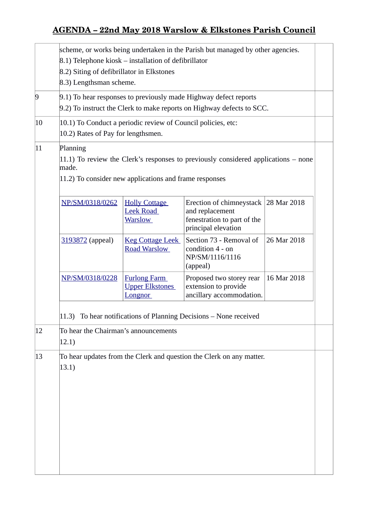## **AGENDA – 22nd May 2018 Warslow & Elkstones Parish Council**

|                | scheme, or works being undertaken in the Parish but managed by other agencies.<br>8.1) Telephone kiosk – installation of defibrillator<br>8.2) Siting of defibrillator in Elkstones<br>8.3) Lengthsman scheme. |                                                                 |                                                                                                               |             |  |
|----------------|----------------------------------------------------------------------------------------------------------------------------------------------------------------------------------------------------------------|-----------------------------------------------------------------|---------------------------------------------------------------------------------------------------------------|-------------|--|
| $\overline{9}$ | 9.1) To hear responses to previously made Highway defect reports<br>9.2) To instruct the Clerk to make reports on Highway defects to SCC.                                                                      |                                                                 |                                                                                                               |             |  |
| $ 10\rangle$   | 10.1) To Conduct a periodic review of Council policies, etc:<br>10.2) Rates of Pay for lengthsmen.                                                                                                             |                                                                 |                                                                                                               |             |  |
| $ 11\rangle$   | Planning<br>11.1) To review the Clerk's responses to previously considered applications – none<br>made.<br>11.2) To consider new applications and frame responses                                              |                                                                 |                                                                                                               |             |  |
|                | NP/SM/0318/0262                                                                                                                                                                                                | <b>Holly Cottage</b><br><b>Leek Road</b><br><u>Warslow</u>      | Erection of chimneystack 28 Mar 2018<br>and replacement<br>fenestration to part of the<br>principal elevation |             |  |
|                | 3193872 (appeal)                                                                                                                                                                                               | <b>Keg Cottage Leek</b><br><b>Road Warslow</b>                  | Section 73 - Removal of<br>condition 4 - on<br>NP/SM/1116/1116<br>(appeal)                                    | 26 Mar 2018 |  |
|                | NP/SM/0318/0228                                                                                                                                                                                                | <b>Furlong Farm</b><br><b>Upper Elkstones</b><br><b>Longnor</b> | Proposed two storey rear<br>extension to provide<br>ancillary accommodation.                                  | 16 Mar 2018 |  |
|                | 11.3) To hear notifications of Planning Decisions - None received                                                                                                                                              |                                                                 |                                                                                                               |             |  |
| 12             | To hear the Chairman's announcements<br>12.1)                                                                                                                                                                  |                                                                 |                                                                                                               |             |  |
| 13             | 13.1)                                                                                                                                                                                                          |                                                                 | To hear updates from the Clerk and question the Clerk on any matter.                                          |             |  |